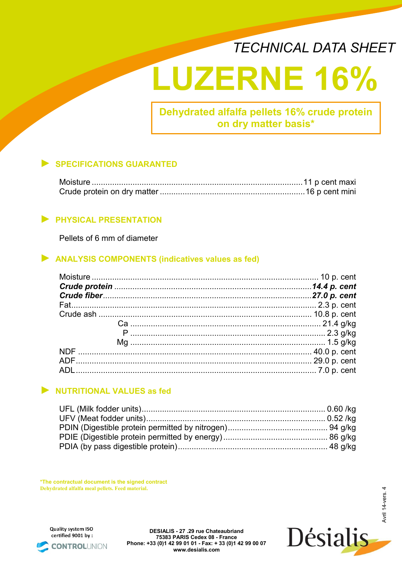## *TECHNICAL DATA SHEET*

# **LUZERNE 16%**

**Dehydrated alfalfa pellets 16% crude protein on dry matter basis\***

## ► **SPECIFICATIONS GUARANTED**

## ► **PHYSICAL PRESENTATION**

Pellets of 6 mm of diameter

### ► **ANALYSIS COMPONENTS (indicatives values as fed)**

### ► **NUTRITIONAL VALUES as fed**

**\*The contractual document is the signed contract Dehydrated alfalfa meal pellets. Feed material.**

Quality system ISO certified 9001 by: